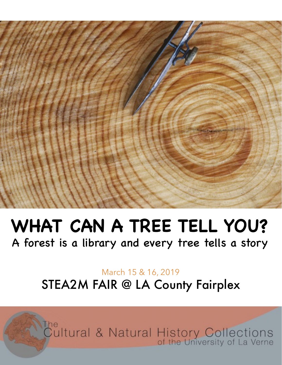

## **WHAT CAN A TREE TELL YOU?**

A forest is a library and every tree tells a story

#### March 15 & 16, 2019 STEA2M FAIR @ LA County Fairplex

The<br>Cultural & Natural History Collections<br>of the University of La Verne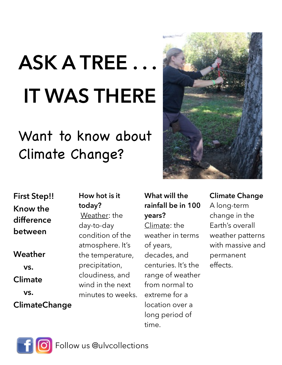# **ASK A TREE . . . IT WAS THERE**

### Want to know about Climate Change?



**First Step!! Know the difference between Weather vs. Climate vs. ClimateChange How hot is it today?**  day-to-day

Weather: the condition of the atmosphere. It's the temperature, precipitation, cloudiness, and wind in the next minutes to weeks.

#### **What will the rainfall be in 100 years?**

Climate: the weather in terms of years, decades, and centuries. It's the range of weather from normal to extreme for a location over a long period of time.

#### **Climate Change**  A long-term change in the Earth's overall weather patterns with massive and permanent effects.

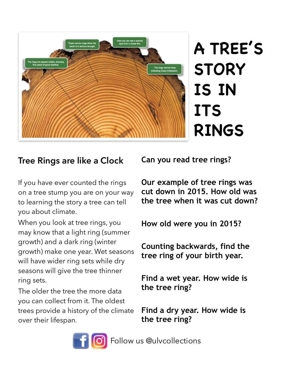

### **A TREE'S STORY IS IN ITS RINGS**

#### **Tree Rings are like a Clock**

If you have ever counted the rings on a tree stump you are on your way to learning the story a tree can tell you about climate.

When you look at tree rings, you may know that a light ring (summer growth) and a dark ring (winter growth) make one year. Wet seasons will have wider ring sets while dry seasons will give the tree thinner ring sets.

The older the tree the more data you can collect from it. The oldest trees provide a history of the climate over their lifespan.

**Can you read tree rings?** 

**Our example of tree rings was cut down in 2015. How old was the tree when it was cut down?** 

**How old were you in 2015?** 

**Counting backwards, find the tree ring of your birth year.** 

**Find a wet year. How wide is the tree ring?** 

**Find a dry year. How wide is the tree ring?** 



Follow us @ulvcollections